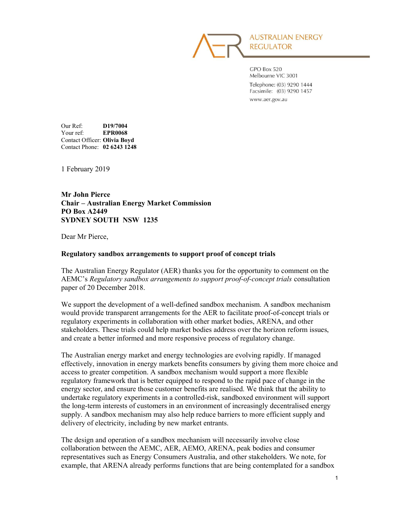

GPO Box 520 Melbourne VIC 3001 Telephone: (03) 9290 1444 Facsimile: (03) 9290 1457 www.aer.gov.au

Our Ref: D19/7004 Your ref: EPR0068 Contact Officer: Olivia Boyd Contact Phone: 02 6243 1248

1 February 2019

Mr John Pierce Chair – Australian Energy Market Commission PO Box A2449 SYDNEY SOUTH NSW 1235

Dear Mr Pierce,

#### Regulatory sandbox arrangements to support proof of concept trials

The Australian Energy Regulator (AER) thanks you for the opportunity to comment on the AEMC's Regulatory sandbox arrangements to support proof-of-concept trials consultation paper of 20 December 2018.

We support the development of a well-defined sandbox mechanism. A sandbox mechanism would provide transparent arrangements for the AER to facilitate proof-of-concept trials or regulatory experiments in collaboration with other market bodies, ARENA, and other stakeholders. These trials could help market bodies address over the horizon reform issues, and create a better informed and more responsive process of regulatory change.

The Australian energy market and energy technologies are evolving rapidly. If managed effectively, innovation in energy markets benefits consumers by giving them more choice and access to greater competition. A sandbox mechanism would support a more flexible regulatory framework that is better equipped to respond to the rapid pace of change in the energy sector, and ensure those customer benefits are realised. We think that the ability to undertake regulatory experiments in a controlled-risk, sandboxed environment will support the long-term interests of customers in an environment of increasingly decentralised energy supply. A sandbox mechanism may also help reduce barriers to more efficient supply and delivery of electricity, including by new market entrants.

The design and operation of a sandbox mechanism will necessarily involve close collaboration between the AEMC, AER, AEMO, ARENA, peak bodies and consumer representatives such as Energy Consumers Australia, and other stakeholders. We note, for example, that ARENA already performs functions that are being contemplated for a sandbox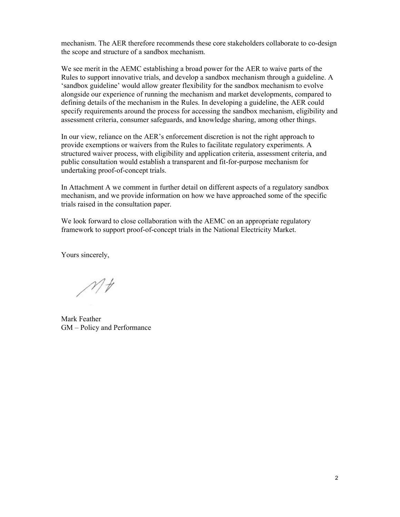mechanism. The AER therefore recommends these core stakeholders collaborate to co-design the scope and structure of a sandbox mechanism.

We see merit in the AEMC establishing a broad power for the AER to waive parts of the Rules to support innovative trials, and develop a sandbox mechanism through a guideline. A 'sandbox guideline' would allow greater flexibility for the sandbox mechanism to evolve alongside our experience of running the mechanism and market developments, compared to defining details of the mechanism in the Rules. In developing a guideline, the AER could specify requirements around the process for accessing the sandbox mechanism, eligibility and assessment criteria, consumer safeguards, and knowledge sharing, among other things.

In our view, reliance on the AER's enforcement discretion is not the right approach to provide exemptions or waivers from the Rules to facilitate regulatory experiments. A structured waiver process, with eligibility and application criteria, assessment criteria, and public consultation would establish a transparent and fit-for-purpose mechanism for undertaking proof-of-concept trials.

In Attachment A we comment in further detail on different aspects of a regulatory sandbox mechanism, and we provide information on how we have approached some of the specific trials raised in the consultation paper.

We look forward to close collaboration with the AEMC on an appropriate regulatory framework to support proof-of-concept trials in the National Electricity Market.

Yours sincerely,

 $Mt$ 

Mark Feather GM – Policy and Performance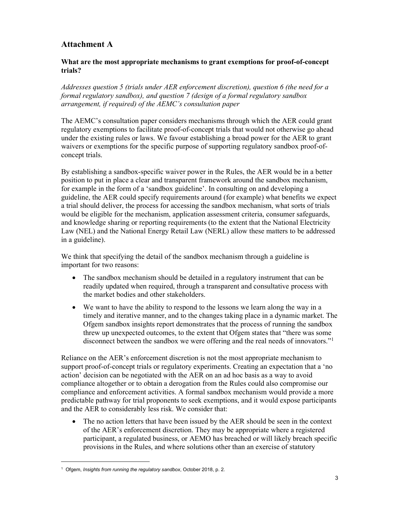# Attachment A

### What are the most appropriate mechanisms to grant exemptions for proof-of-concept trials?

Addresses question 5 (trials under AER enforcement discretion), question 6 (the need for a formal regulatory sandbox), and question 7 (design of a formal regulatory sandbox arrangement, if required) of the AEMC's consultation paper

The AEMC's consultation paper considers mechanisms through which the AER could grant regulatory exemptions to facilitate proof-of-concept trials that would not otherwise go ahead under the existing rules or laws. We favour establishing a broad power for the AER to grant waivers or exemptions for the specific purpose of supporting regulatory sandbox proof-ofconcept trials.

By establishing a sandbox-specific waiver power in the Rules, the AER would be in a better position to put in place a clear and transparent framework around the sandbox mechanism, for example in the form of a 'sandbox guideline'. In consulting on and developing a guideline, the AER could specify requirements around (for example) what benefits we expect a trial should deliver, the process for accessing the sandbox mechanism, what sorts of trials would be eligible for the mechanism, application assessment criteria, consumer safeguards, and knowledge sharing or reporting requirements (to the extent that the National Electricity Law (NEL) and the National Energy Retail Law (NERL) allow these matters to be addressed in a guideline).

We think that specifying the detail of the sandbox mechanism through a guideline is important for two reasons:

- The sandbox mechanism should be detailed in a regulatory instrument that can be readily updated when required, through a transparent and consultative process with the market bodies and other stakeholders.
- We want to have the ability to respond to the lessons we learn along the way in a timely and iterative manner, and to the changes taking place in a dynamic market. The Ofgem sandbox insights report demonstrates that the process of running the sandbox threw up unexpected outcomes, to the extent that Ofgem states that "there was some disconnect between the sandbox we were offering and the real needs of innovators."<sup>1</sup>

Reliance on the AER's enforcement discretion is not the most appropriate mechanism to support proof-of-concept trials or regulatory experiments. Creating an expectation that a 'no action' decision can be negotiated with the AER on an ad hoc basis as a way to avoid compliance altogether or to obtain a derogation from the Rules could also compromise our compliance and enforcement activities. A formal sandbox mechanism would provide a more predictable pathway for trial proponents to seek exemptions, and it would expose participants and the AER to considerably less risk. We consider that:

• The no action letters that have been issued by the AER should be seen in the context of the AER's enforcement discretion. They may be appropriate where a registered participant, a regulated business, or AEMO has breached or will likely breach specific provisions in the Rules, and where solutions other than an exercise of statutory

<sup>&</sup>lt;sup>1</sup> Ofgem, Insights from running the regulatory sandbox, October 2018, p. 2.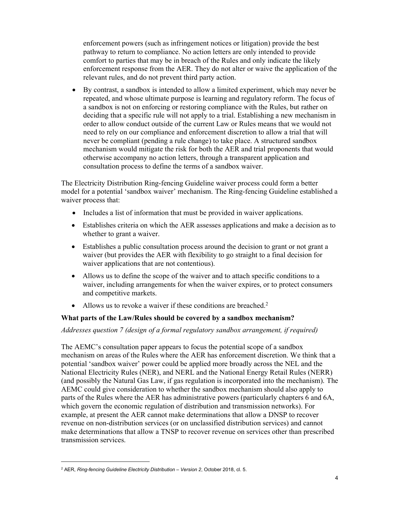enforcement powers (such as infringement notices or litigation) provide the best pathway to return to compliance. No action letters are only intended to provide comfort to parties that may be in breach of the Rules and only indicate the likely enforcement response from the AER. They do not alter or waive the application of the relevant rules, and do not prevent third party action.

 By contrast, a sandbox is intended to allow a limited experiment, which may never be repeated, and whose ultimate purpose is learning and regulatory reform. The focus of a sandbox is not on enforcing or restoring compliance with the Rules, but rather on deciding that a specific rule will not apply to a trial. Establishing a new mechanism in order to allow conduct outside of the current Law or Rules means that we would not need to rely on our compliance and enforcement discretion to allow a trial that will never be compliant (pending a rule change) to take place. A structured sandbox mechanism would mitigate the risk for both the AER and trial proponents that would otherwise accompany no action letters, through a transparent application and consultation process to define the terms of a sandbox waiver.

The Electricity Distribution Ring-fencing Guideline waiver process could form a better model for a potential 'sandbox waiver' mechanism. The Ring-fencing Guideline established a waiver process that:

- Includes a list of information that must be provided in waiver applications.
- Establishes criteria on which the AER assesses applications and make a decision as to whether to grant a waiver.
- Establishes a public consultation process around the decision to grant or not grant a waiver (but provides the AER with flexibility to go straight to a final decision for waiver applications that are not contentious).
- Allows us to define the scope of the waiver and to attach specific conditions to a waiver, including arrangements for when the waiver expires, or to protect consumers and competitive markets.
- Allows us to revoke a waiver if these conditions are breached.<sup>2</sup>

### What parts of the Law/Rules should be covered by a sandbox mechanism?

#### Addresses question 7 (design of a formal regulatory sandbox arrangement, if required)

The AEMC's consultation paper appears to focus the potential scope of a sandbox mechanism on areas of the Rules where the AER has enforcement discretion. We think that a potential 'sandbox waiver' power could be applied more broadly across the NEL and the National Electricity Rules (NER), and NERL and the National Energy Retail Rules (NERR) (and possibly the Natural Gas Law, if gas regulation is incorporated into the mechanism). The AEMC could give consideration to whether the sandbox mechanism should also apply to parts of the Rules where the AER has administrative powers (particularly chapters 6 and 6A, which govern the economic regulation of distribution and transmission networks). For example, at present the AER cannot make determinations that allow a DNSP to recover revenue on non-distribution services (or on unclassified distribution services) and cannot make determinations that allow a TNSP to recover revenue on services other than prescribed transmission services.

<sup>&</sup>lt;sup>2</sup> AER, Ring-fencing Guideline Electricity Distribution - Version 2, October 2018, cl. 5.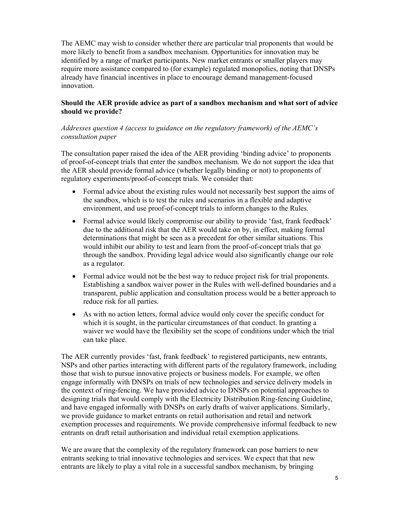The AEMC may wish to consider whether there are particular trial proponents that would be more likely to benefit from a sandbox mechanism. Opportunities for innovation may be identified by a range of market participants. New market entrants or smaller players may require more assistance compared to (for example) regulated monopolies, noting that DNSPs already have financial incentives in place to encourage demand management-focused innovation.

#### Should the AER provide advice as part of a sandbox mechanism and what sort of advice should we provide?

### Addresses question 4 (access to guidance on the regulatory framework) of the AEMC's consultation paper

The consultation paper raised the idea of the AER providing 'binding advice' to proponents of proof-of-concept trials that enter the sandbox mechanism. We do not support the idea that the AER should provide formal advice (whether legally binding or not) to proponents of regulatory experiments/proof-of-concept trials. We consider that:

- Formal advice about the existing rules would not necessarily best support the aims of the sandbox, which is to test the rules and scenarios in a flexible and adaptive environment, and use proof-of-concept trials to inform changes to the Rules.
- Formal advice would likely compromise our ability to provide 'fast, frank feedback' due to the additional risk that the AER would take on by, in effect, making formal determinations that might be seen as a precedent for other similar situations. This would inhibit our ability to test and learn from the proof-of-concept trials that go through the sandbox. Providing legal advice would also significantly change our role as a regulator.
- Formal advice would not be the best way to reduce project risk for trial proponents. Establishing a sandbox waiver power in the Rules with well-defined boundaries and a transparent, public application and consultation process would be a better approach to reduce risk for all parties.
- As with no action letters, formal advice would only cover the specific conduct for which it is sought, in the particular circumstances of that conduct. In granting a waiver we would have the flexibility set the scope of conditions under which the trial can take place.

The AER currently provides 'fast, frank feedback' to registered participants, new entrants, NSPs and other parties interacting with different parts of the regulatory framework, including those that wish to pursue innovative projects or business models. For example, we often engage informally with DNSPs on trials of new technologies and service delivery models in the context of ring-fencing. We have provided advice to DNSPs on potential approaches to designing trials that would comply with the Electricity Distribution Ring-fencing Guideline, and have engaged informally with DNSPs on early drafts of waiver applications. Similarly, we provide guidance to market entrants on retail authorisation and retail and network exemption processes and requirements. We provide comprehensive informal feedback to new entrants on draft retail authorisation and individual retail exemption applications.

We are aware that the complexity of the regulatory framework can pose barriers to new entrants seeking to trial innovative technologies and services. We expect that that new entrants are likely to play a vital role in a successful sandbox mechanism, by bringing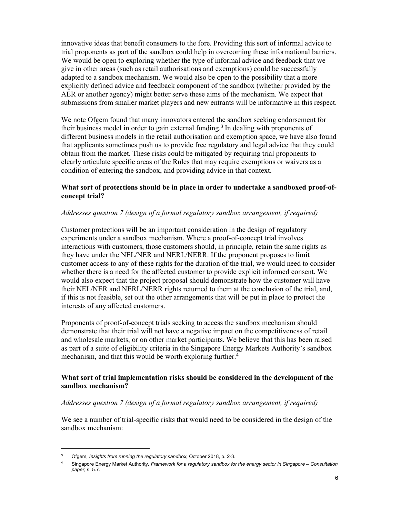innovative ideas that benefit consumers to the fore. Providing this sort of informal advice to trial proponents as part of the sandbox could help in overcoming these informational barriers. We would be open to exploring whether the type of informal advice and feedback that we give in other areas (such as retail authorisations and exemptions) could be successfully adapted to a sandbox mechanism. We would also be open to the possibility that a more explicitly defined advice and feedback component of the sandbox (whether provided by the AER or another agency) might better serve these aims of the mechanism. We expect that submissions from smaller market players and new entrants will be informative in this respect.

We note Ofgem found that many innovators entered the sandbox seeking endorsement for their business model in order to gain external funding.<sup>3</sup> In dealing with proponents of different business models in the retail authorisation and exemption space, we have also found that applicants sometimes push us to provide free regulatory and legal advice that they could obtain from the market. These risks could be mitigated by requiring trial proponents to clearly articulate specific areas of the Rules that may require exemptions or waivers as a condition of entering the sandbox, and providing advice in that context.

#### What sort of protections should be in place in order to undertake a sandboxed proof-ofconcept trial?

#### Addresses question 7 (design of a formal regulatory sandbox arrangement, if required)

Customer protections will be an important consideration in the design of regulatory experiments under a sandbox mechanism. Where a proof-of-concept trial involves interactions with customers, those customers should, in principle, retain the same rights as they have under the NEL/NER and NERL/NERR. If the proponent proposes to limit customer access to any of these rights for the duration of the trial, we would need to consider whether there is a need for the affected customer to provide explicit informed consent. We would also expect that the project proposal should demonstrate how the customer will have their NEL/NER and NERL/NERR rights returned to them at the conclusion of the trial, and, if this is not feasible, set out the other arrangements that will be put in place to protect the interests of any affected customers.

Proponents of proof-of-concept trials seeking to access the sandbox mechanism should demonstrate that their trial will not have a negative impact on the competitiveness of retail and wholesale markets, or on other market participants. We believe that this has been raised as part of a suite of eligibility criteria in the Singapore Energy Markets Authority's sandbox mechanism, and that this would be worth exploring further.<sup>4</sup>

### What sort of trial implementation risks should be considered in the development of the sandbox mechanism?

#### Addresses question 7 (design of a formal regulatory sandbox arrangement, if required)

We see a number of trial-specific risks that would need to be considered in the design of the sandbox mechanism:

 $3$  Ofgem, Insights from running the regulatory sandbox, October 2018, p. 2-3.

<sup>4</sup> Singapore Energy Market Authority, Framework for a regulatory sandbox for the energy sector in Singapore – Consultation paper, s. 5.7.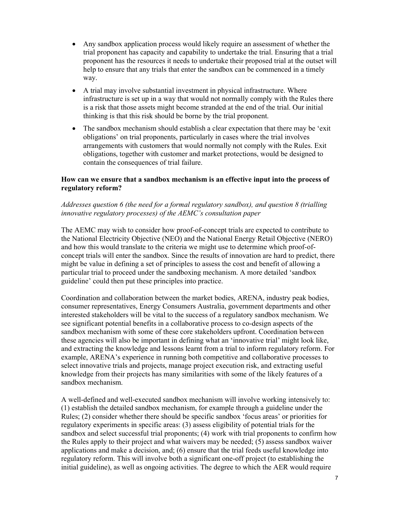- Any sandbox application process would likely require an assessment of whether the trial proponent has capacity and capability to undertake the trial. Ensuring that a trial proponent has the resources it needs to undertake their proposed trial at the outset will help to ensure that any trials that enter the sandbox can be commenced in a timely way.
- A trial may involve substantial investment in physical infrastructure. Where infrastructure is set up in a way that would not normally comply with the Rules there is a risk that those assets might become stranded at the end of the trial. Our initial thinking is that this risk should be borne by the trial proponent.
- The sandbox mechanism should establish a clear expectation that there may be 'exit obligations' on trial proponents, particularly in cases where the trial involves arrangements with customers that would normally not comply with the Rules. Exit obligations, together with customer and market protections, would be designed to contain the consequences of trial failure.

### How can we ensure that a sandbox mechanism is an effective input into the process of regulatory reform?

### Addresses question 6 (the need for a formal regulatory sandbox), and question 8 (trialling innovative regulatory processes) of the AEMC's consultation paper

The AEMC may wish to consider how proof-of-concept trials are expected to contribute to the National Electricity Objective (NEO) and the National Energy Retail Objective (NERO) and how this would translate to the criteria we might use to determine which proof-ofconcept trials will enter the sandbox. Since the results of innovation are hard to predict, there might be value in defining a set of principles to assess the cost and benefit of allowing a particular trial to proceed under the sandboxing mechanism. A more detailed 'sandbox guideline' could then put these principles into practice.

Coordination and collaboration between the market bodies, ARENA, industry peak bodies, consumer representatives, Energy Consumers Australia, government departments and other interested stakeholders will be vital to the success of a regulatory sandbox mechanism. We see significant potential benefits in a collaborative process to co-design aspects of the sandbox mechanism with some of these core stakeholders upfront. Coordination between these agencies will also be important in defining what an 'innovative trial' might look like, and extracting the knowledge and lessons learnt from a trial to inform regulatory reform. For example, ARENA's experience in running both competitive and collaborative processes to select innovative trials and projects, manage project execution risk, and extracting useful knowledge from their projects has many similarities with some of the likely features of a sandbox mechanism.

A well-defined and well-executed sandbox mechanism will involve working intensively to: (1) establish the detailed sandbox mechanism, for example through a guideline under the Rules; (2) consider whether there should be specific sandbox 'focus areas' or priorities for regulatory experiments in specific areas: (3) assess eligibility of potential trials for the sandbox and select successful trial proponents; (4) work with trial proponents to confirm how the Rules apply to their project and what waivers may be needed; (5) assess sandbox waiver applications and make a decision, and; (6) ensure that the trial feeds useful knowledge into regulatory reform. This will involve both a significant one-off project (to establishing the initial guideline), as well as ongoing activities. The degree to which the AER would require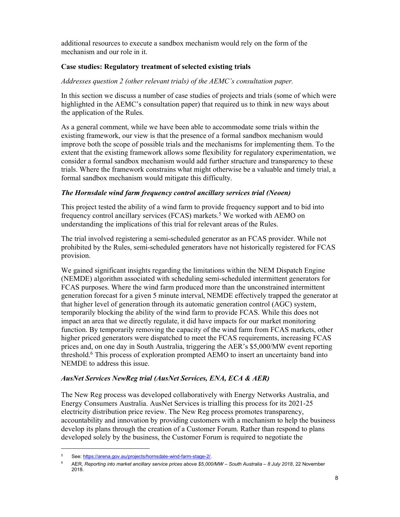additional resources to execute a sandbox mechanism would rely on the form of the mechanism and our role in it.

### Case studies: Regulatory treatment of selected existing trials

#### Addresses question 2 (other relevant trials) of the AEMC's consultation paper.

In this section we discuss a number of case studies of projects and trials (some of which were highlighted in the AEMC's consultation paper) that required us to think in new ways about the application of the Rules.

As a general comment, while we have been able to accommodate some trials within the existing framework, our view is that the presence of a formal sandbox mechanism would improve both the scope of possible trials and the mechanisms for implementing them. To the extent that the existing framework allows some flexibility for regulatory experimentation, we consider a formal sandbox mechanism would add further structure and transparency to these trials. Where the framework constrains what might otherwise be a valuable and timely trial, a formal sandbox mechanism would mitigate this difficulty.

### The Hornsdale wind farm frequency control ancillary services trial (Neoen)

This project tested the ability of a wind farm to provide frequency support and to bid into frequency control ancillary services (FCAS) markets.<sup>5</sup> We worked with AEMO on understanding the implications of this trial for relevant areas of the Rules.

The trial involved registering a semi-scheduled generator as an FCAS provider. While not prohibited by the Rules, semi-scheduled generators have not historically registered for FCAS provision.

We gained significant insights regarding the limitations within the NEM Dispatch Engine (NEMDE) algorithm associated with scheduling semi-scheduled intermittent generators for FCAS purposes. Where the wind farm produced more than the unconstrained intermittent generation forecast for a given 5 minute interval, NEMDE effectively trapped the generator at that higher level of generation through its automatic generation control (AGC) system, temporarily blocking the ability of the wind farm to provide FCAS. While this does not impact an area that we directly regulate, it did have impacts for our market monitoring function. By temporarily removing the capacity of the wind farm from FCAS markets, other higher priced generators were dispatched to meet the FCAS requirements, increasing FCAS prices and, on one day in South Australia, triggering the AER's \$5,000/MW event reporting threshold.<sup>6</sup> This process of exploration prompted AEMO to insert an uncertainty band into NEMDE to address this issue.

### AusNet Services NewReg trial (AusNet Services, ENA, ECA & AER)

The New Reg process was developed collaboratively with Energy Networks Australia, and Energy Consumers Australia. AusNet Services is trialling this process for its 2021-25 electricity distribution price review. The New Reg process promotes transparency, accountability and innovation by providing customers with a mechanism to help the business develop its plans through the creation of a Customer Forum. Rather than respond to plans developed solely by the business, the Customer Forum is required to negotiate the

<sup>5</sup> See: https://arena.gov.au/projects/hornsdale-wind-farm-stage-2/.

<sup>6</sup> AER, Reporting into market ancillary service prices above \$5,000/MW – South Australia – 8 July 2018, 22 November 2018.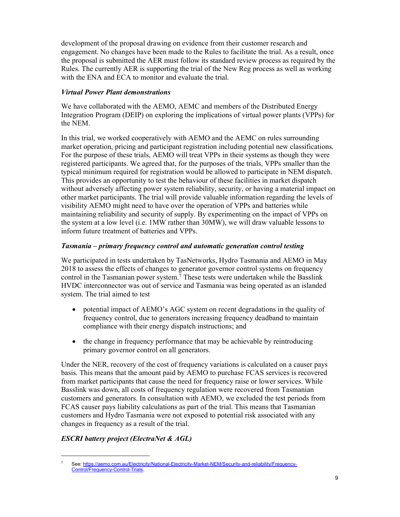development of the proposal drawing on evidence from their customer research and engagement. No changes have been made to the Rules to facilitate the trial. As a result, once the proposal is submitted the AER must follow its standard review process as required by the Rules. The currently AER is supporting the trial of the New Reg process as well as working with the ENA and ECA to monitor and evaluate the trial.

### Virtual Power Plant demonstrations

We have collaborated with the AEMO, AEMC and members of the Distributed Energy Integration Program (DEIP) on exploring the implications of virtual power plants (VPPs) for the NEM.

In this trial, we worked cooperatively with AEMO and the AEMC on rules surrounding market operation, pricing and participant registration including potential new classifications. For the purpose of these trials, AEMO will treat VPPs in their systems as though they were registered participants. We agreed that, for the purposes of the trials, VPPs smaller than the typical minimum required for registration would be allowed to participate in NEM dispatch. This provides an opportunity to test the behaviour of these facilities in market dispatch without adversely affecting power system reliability, security, or having a material impact on other market participants. The trial will provide valuable information regarding the levels of visibility AEMO might need to have over the operation of VPPs and batteries while maintaining reliability and security of supply. By experimenting on the impact of VPPs on the system at a low level (i.e. 1MW rather than 30MW), we will draw valuable lessons to inform future treatment of batteries and VPPs.

### Tasmania – primary frequency control and automatic generation control testing

We participated in tests undertaken by TasNetworks, Hydro Tasmania and AEMO in May 2018 to assess the effects of changes to generator governor control systems on frequency control in the Tasmanian power system.<sup>7</sup> These tests were undertaken while the Basslink HVDC interconnector was out of service and Tasmania was being operated as an islanded system. The trial aimed to test

- potential impact of AEMO's AGC system on recent degradations in the quality of frequency control, due to generators increasing frequency deadband to maintain compliance with their energy dispatch instructions; and
- the change in frequency performance that may be achievable by reintroducing primary governor control on all generators.

Under the NER, recovery of the cost of frequency variations is calculated on a causer pays basis. This means that the amount paid by AEMO to purchase FCAS services is recovered from market participants that cause the need for frequency raise or lower services. While Basslink was down, all costs of frequency regulation were recovered from Tasmanian customers and generators. In consultation with AEMO, we excluded the test periods from FCAS causer pays liability calculations as part of the trial. This means that Tasmanian customers and Hydro Tasmania were not exposed to potential risk associated with any changes in frequency as a result of the trial.

## ESCRI battery project (ElectraNet & AGL)

<sup>7</sup> See: https://aemo.com.au/Electricity/National-Electricity-Market-NEM/Security-and-reliability/Frequency-Control/Frequency-Control-Trials.